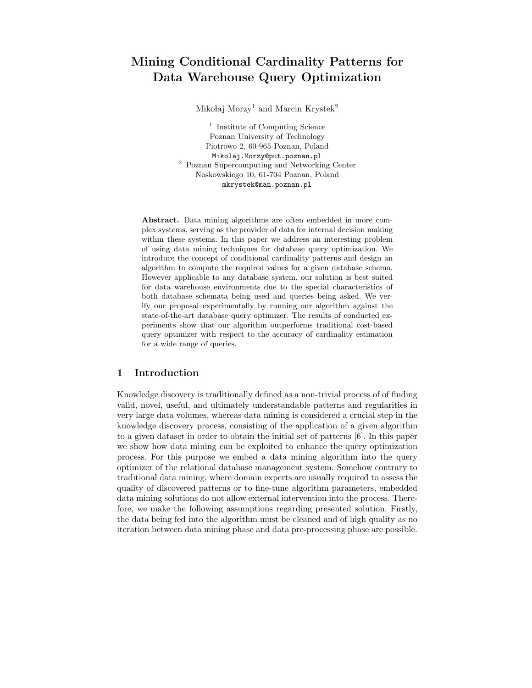# Mining Conditional Cardinality Patterns for Data Warehouse Query Optimization

Mikołaj Morzy<sup>1</sup> and Marcin Krystek<sup>2</sup>

<sup>1</sup> Institute of Computing Science Poznan University of Technology Piotrowo 2, 60-965 Poznan, Poland Mikolaj.Morzy@put.poznan.pl <sup>2</sup> Poznan Supercomputing and Networking Center Noskowskiego 10, 61-704 Poznan, Poland mkrystek@man.poznan.pl

Abstract. Data mining algorithms are often embedded in more complex systems, serving as the provider of data for internal decision making within these systems. In this paper we address an interesting problem of using data mining techniques for database query optimization. We introduce the concept of conditional cardinality patterns and design an algorithm to compute the required values for a given database schema. However applicable to any database system, our solution is best suited for data warehouse environments due to the special characteristics of both database schemata being used and queries being asked. We verify our proposal experimentally by running our algorithm against the state-of-the-art database query optimizer. The results of conducted experiments show that our algorithm outperforms traditional cost-based query optimizer with respect to the accuracy of cardinality estimation for a wide range of queries.

# 1 Introduction

Knowledge discovery is traditionally defined as a non-trivial process of of finding valid, novel, useful, and ultimately understandable patterns and regularities in very large data volumes, whereas data mining is considered a crucial step in the knowledge discovery process, consisting of the application of a given algorithm to a given dataset in order to obtain the initial set of patterns [6]. In this paper we show how data mining can be exploited to enhance the query optimization process. For this purpose we embed a data mining algorithm into the query optimizer of the relational database management system. Somehow contrary to traditional data mining, where domain experts are usually required to assess the quality of discovered patterns or to fine-tune algorithm parameters, embedded data mining solutions do not allow external intervention into the process. Therefore, we make the following assumptions regarding presented solution. Firstly, the data being fed into the algorithm must be cleaned and of high quality as no iteration between data mining phase and data pre-processing phase are possible.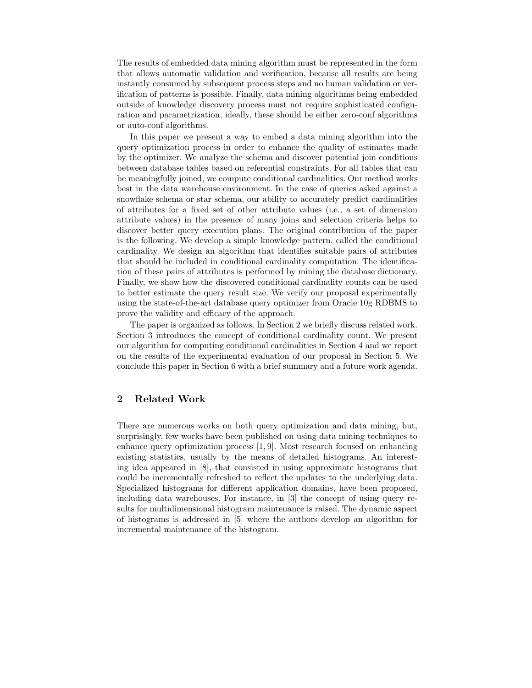The results of embedded data mining algorithm must be represented in the form that allows automatic validation and verification, because all results are being instantly consumed by subsequent process steps and no human validation or verification of patterns is possible. Finally, data mining algorithms being embedded outside of knowledge discovery process must not require sophisticated configuration and parametrization, ideally, these should be either zero-conf algorithms or auto-conf algorithms.

In this paper we present a way to embed a data mining algorithm into the query optimization process in order to enhance the quality of estimates made by the optimizer. We analyze the schema and discover potential join conditions between database tables based on referential constraints. For all tables that can be meaningfully joined, we compute conditional cardinalities. Our method works best in the data warehouse environment. In the case of queries asked against a snowflake schema or star schema, our ability to accurately predict cardinalities of attributes for a fixed set of other attribute values (i.e., a set of dimension attribute values) in the presence of many joins and selection criteria helps to discover better query execution plans. The original contribution of the paper is the following. We develop a simple knowledge pattern, called the conditional cardinality. We design an algorithm that identifies suitable pairs of attributes that should be included in conditional cardinality computation. The identification of these pairs of attributes is performed by mining the database dictionary. Finally, we show how the discovered conditional cardinality counts can be used to better estimate the query result size. We verify our proposal experimentally using the state-of-the-art database query optimizer from Oracle 10g RDBMS to prove the validity and efficacy of the approach.

The paper is organized as follows. In Section 2 we briefly discuss related work. Section 3 introduces the concept of conditional cardinality count. We present our algorithm for computing conditional cardinalities in Section 4 and we report on the results of the experimental evaluation of our proposal in Section 5. We conclude this paper in Section 6 with a brief summary and a future work agenda.

### 2 Related Work

There are numerous works on both query optimization and data mining, but, surprisingly, few works have been published on using data mining techniques to enhance query optimization process [1, 9]. Most research focused on enhancing existing statistics, usually by the means of detailed histograms. An interesting idea appeared in [8], that consisted in using approximate histograms that could be incrementally refreshed to reflect the updates to the underlying data. Specialized histograms for different application domains, have been proposed, including data warehouses. For instance, in [3] the concept of using query results for multidimensional histogram maintenance is raised. The dynamic aspect of histograms is addressed in [5] where the authors develop an algorithm for incremental maintenance of the histogram.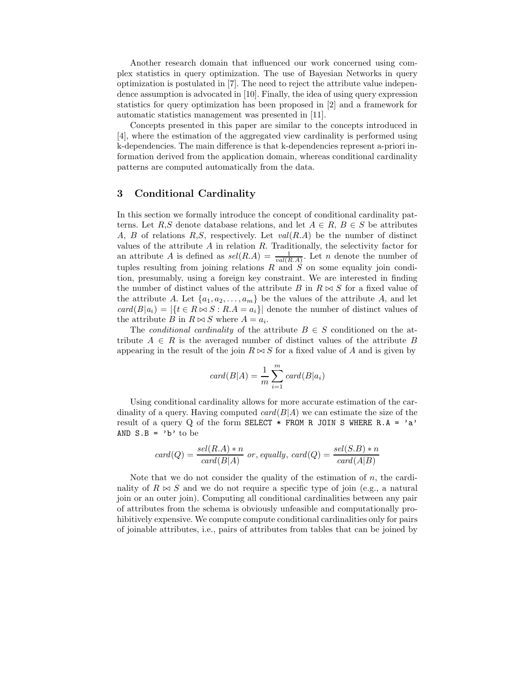Another research domain that influenced our work concerned using complex statistics in query optimization. The use of Bayesian Networks in query optimization is postulated in [7]. The need to reject the attribute value independence assumption is advocated in [10]. Finally, the idea of using query expression statistics for query optimization has been proposed in [2] and a framework for automatic statistics management was presented in [11].

Concepts presented in this paper are similar to the concepts introduced in [4], where the estimation of the aggregated view cardinality is performed using k-dependencies. The main difference is that k-dependencies represent a-priori information derived from the application domain, whereas conditional cardinality patterns are computed automatically from the data.

### 3 Conditional Cardinality

In this section we formally introduce the concept of conditional cardinality patterns. Let R,S denote database relations, and let  $A \in R$ ,  $B \in S$  be attributes A, B of relations R,S, respectively. Let  $val(R.A)$  be the number of distinct values of the attribute  $A$  in relation  $R$ . Traditionally, the selectivity factor for an attribute A is defined as  $sel(R.A) = \frac{1}{val(R.A)}$ . Let n denote the number of tuples resulting from joining relations  $R$  and  $S$  on some equality join condition, presumably, using a foreign key constraint. We are interested in finding the number of distinct values of the attribute B in  $R \bowtie S$  for a fixed value of the attribute A. Let  $\{a_1, a_2, \ldots, a_m\}$  be the values of the attribute A, and let  $card(B|a_i) = |\{t \in R \bowtie S : R.A = a_i\}|$  denote the number of distinct values of the attribute B in  $R \bowtie S$  where  $A = a_i$ .

The conditional cardinality of the attribute  $B \in S$  conditioned on the attribute  $A \in R$  is the averaged number of distinct values of the attribute B appearing in the result of the join  $R \bowtie S$  for a fixed value of A and is given by

$$
card(B|A) = \frac{1}{m} \sum_{i=1}^{m} card(B|a_i)
$$

Using conditional cardinality allows for more accurate estimation of the cardinality of a query. Having computed  $card(B|A)$  we can estimate the size of the result of a query Q of the form SELECT  $*$  FROM R JOIN S WHERE R.A = 'a' AND  $S.B = 'b'$  to be

$$
card(Q) = \frac{sel(R.A) * n}{card(B|A)} \text{ or, equally, } card(Q) = \frac{sel(S.B) * n}{card(A|B)}
$$

Note that we do not consider the quality of the estimation of  $n$ , the cardinality of  $R \bowtie S$  and we do not require a specific type of join (e.g., a natural join or an outer join). Computing all conditional cardinalities between any pair of attributes from the schema is obviously unfeasible and computationally prohibitively expensive. We compute compute conditional cardinalities only for pairs of joinable attributes, i.e., pairs of attributes from tables that can be joined by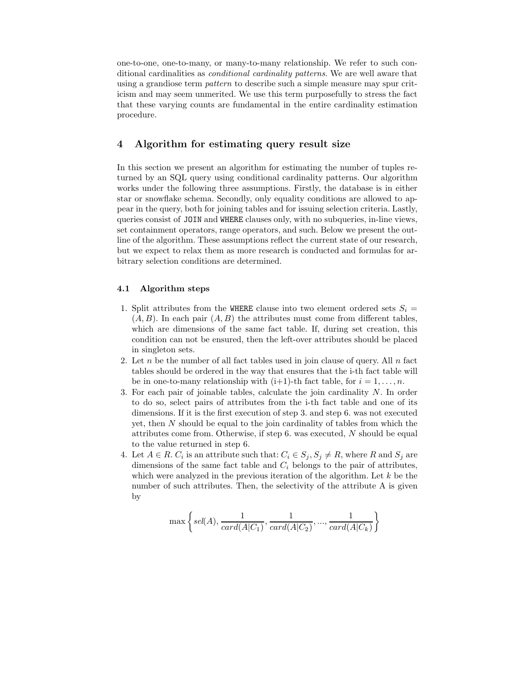one-to-one, one-to-many, or many-to-many relationship. We refer to such conditional cardinalities as conditional cardinality patterns. We are well aware that using a grandiose term pattern to describe such a simple measure may spur criticism and may seem unmerited. We use this term purposefully to stress the fact that these varying counts are fundamental in the entire cardinality estimation procedure.

### 4 Algorithm for estimating query result size

In this section we present an algorithm for estimating the number of tuples returned by an SQL query using conditional cardinality patterns. Our algorithm works under the following three assumptions. Firstly, the database is in either star or snowflake schema. Secondly, only equality conditions are allowed to appear in the query, both for joining tables and for issuing selection criteria. Lastly, queries consist of JOIN and WHERE clauses only, with no subqueries, in-line views, set containment operators, range operators, and such. Below we present the outline of the algorithm. These assumptions reflect the current state of our research, but we expect to relax them as more research is conducted and formulas for arbitrary selection conditions are determined.

#### 4.1 Algorithm steps

- 1. Split attributes from the WHERE clause into two element ordered sets  $S_i$  =  $(A, B)$ . In each pair  $(A, B)$  the attributes must come from different tables, which are dimensions of the same fact table. If, during set creation, this condition can not be ensured, then the left-over attributes should be placed in singleton sets.
- 2. Let n be the number of all fact tables used in join clause of query. All  $n$  fact tables should be ordered in the way that ensures that the i-th fact table will be in one-to-many relationship with  $(i+1)$ -th fact table, for  $i = 1, ..., n$ .
- 3. For each pair of joinable tables, calculate the join cardinality  $N$ . In order to do so, select pairs of attributes from the i-th fact table and one of its dimensions. If it is the first execution of step 3. and step 6. was not executed yet, then N should be equal to the join cardinality of tables from which the attributes come from. Otherwise, if step 6. was executed, N should be equal to the value returned in step 6.
- 4. Let  $A \in R$ .  $C_i$  is an attribute such that:  $C_i \in S_j$ ,  $S_j \neq R$ , where R and  $S_j$  are dimensions of the same fact table and  $C_i$  belongs to the pair of attributes, which were analyzed in the previous iteration of the algorithm. Let  $k$  be the number of such attributes. Then, the selectivity of the attribute A is given by

$$
\max\left\{sel(A), \frac{1}{card(A|C_1)}, \frac{1}{card(A|C_2)}, ..., \frac{1}{card(A|C_k)} \right\}
$$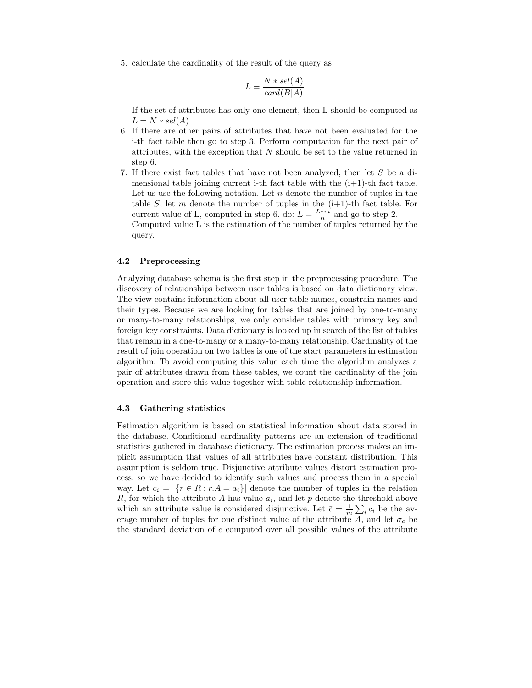5. calculate the cardinality of the result of the query as

$$
L = \frac{N * sel(A)}{card(B|A)}
$$

If the set of attributes has only one element, then L should be computed as  $L = N * sel(A)$ 

- 6. If there are other pairs of attributes that have not been evaluated for the i-th fact table then go to step 3. Perform computation for the next pair of attributes, with the exception that  $N$  should be set to the value returned in step 6.
- 7. If there exist fact tables that have not been analyzed, then let S be a dimensional table joining current i-th fact table with the  $(i+1)$ -th fact table. Let us use the following notation. Let  $n$  denote the number of tuples in the table S, let m denote the number of tuples in the  $(i+1)$ -th fact table. For current value of L, computed in step 6. do:  $L = \frac{L*m}{n}$  and go to step 2.

Computed value L is the estimation of the number of tuples returned by the query.

#### 4.2 Preprocessing

Analyzing database schema is the first step in the preprocessing procedure. The discovery of relationships between user tables is based on data dictionary view. The view contains information about all user table names, constrain names and their types. Because we are looking for tables that are joined by one-to-many or many-to-many relationships, we only consider tables with primary key and foreign key constraints. Data dictionary is looked up in search of the list of tables that remain in a one-to-many or a many-to-many relationship. Cardinality of the result of join operation on two tables is one of the start parameters in estimation algorithm. To avoid computing this value each time the algorithm analyzes a pair of attributes drawn from these tables, we count the cardinality of the join operation and store this value together with table relationship information.

#### 4.3 Gathering statistics

Estimation algorithm is based on statistical information about data stored in the database. Conditional cardinality patterns are an extension of traditional statistics gathered in database dictionary. The estimation process makes an implicit assumption that values of all attributes have constant distribution. This assumption is seldom true. Disjunctive attribute values distort estimation process, so we have decided to identify such values and process them in a special way. Let  $c_i = |\{r \in R : r.A = a_i\}|$  denote the number of tuples in the relation R, for which the attribute A has value  $a_i$ , and let p denote the threshold above which an attribute value is considered disjunctive. Let  $\bar{c} = \frac{1}{m} \sum_i c_i$  be the average number of tuples for one distinct value of the attribute A, and let  $\sigma_c$  be the standard deviation of  $c$  computed over all possible values of the attribute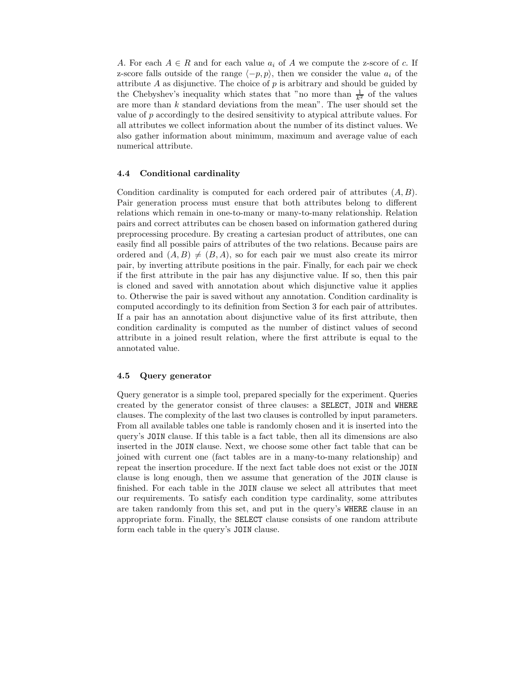A. For each  $A \in R$  and for each value  $a_i$  of A we compute the z-score of c. If z-score falls outside of the range  $\langle -p, p \rangle$ , then we consider the value  $a_i$  of the attribute  $A$  as disjunctive. The choice of  $p$  is arbitrary and should be guided by the Chebyshev's inequality which states that "no more than  $\frac{1}{k^2}$  of the values are more than k standard deviations from the mean". The user should set the value of p accordingly to the desired sensitivity to atypical attribute values. For all attributes we collect information about the number of its distinct values. We also gather information about minimum, maximum and average value of each numerical attribute.

#### 4.4 Conditional cardinality

Condition cardinality is computed for each ordered pair of attributes  $(A, B)$ . Pair generation process must ensure that both attributes belong to different relations which remain in one-to-many or many-to-many relationship. Relation pairs and correct attributes can be chosen based on information gathered during preprocessing procedure. By creating a cartesian product of attributes, one can easily find all possible pairs of attributes of the two relations. Because pairs are ordered and  $(A, B) \neq (B, A)$ , so for each pair we must also create its mirror pair, by inverting attribute positions in the pair. Finally, for each pair we check if the first attribute in the pair has any disjunctive value. If so, then this pair is cloned and saved with annotation about which disjunctive value it applies to. Otherwise the pair is saved without any annotation. Condition cardinality is computed accordingly to its definition from Section 3 for each pair of attributes. If a pair has an annotation about disjunctive value of its first attribute, then condition cardinality is computed as the number of distinct values of second attribute in a joined result relation, where the first attribute is equal to the annotated value.

#### 4.5 Query generator

Query generator is a simple tool, prepared specially for the experiment. Queries created by the generator consist of three clauses: a SELECT, JOIN and WHERE clauses. The complexity of the last two clauses is controlled by input parameters. From all available tables one table is randomly chosen and it is inserted into the query's JOIN clause. If this table is a fact table, then all its dimensions are also inserted in the JOIN clause. Next, we choose some other fact table that can be joined with current one (fact tables are in a many-to-many relationship) and repeat the insertion procedure. If the next fact table does not exist or the JOIN clause is long enough, then we assume that generation of the JOIN clause is finished. For each table in the JOIN clause we select all attributes that meet our requirements. To satisfy each condition type cardinality, some attributes are taken randomly from this set, and put in the query's WHERE clause in an appropriate form. Finally, the SELECT clause consists of one random attribute form each table in the query's JOIN clause.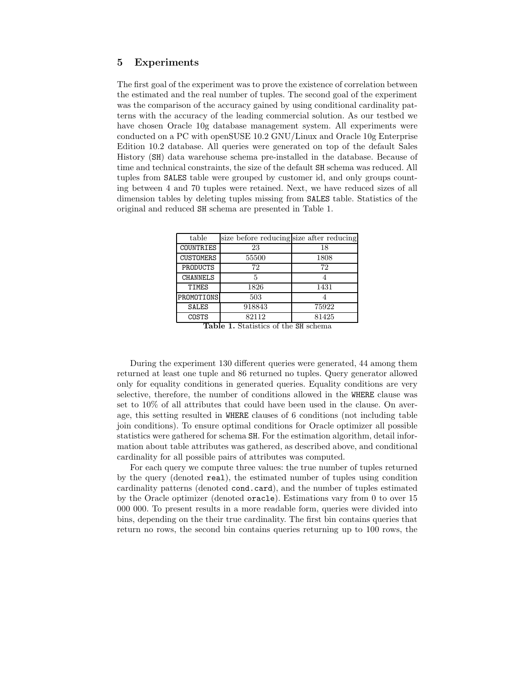## 5 Experiments

The first goal of the experiment was to prove the existence of correlation between the estimated and the real number of tuples. The second goal of the experiment was the comparison of the accuracy gained by using conditional cardinality patterns with the accuracy of the leading commercial solution. As our testbed we have chosen Oracle 10g database management system. All experiments were conducted on a PC with openSUSE 10.2 GNU/Linux and Oracle 10g Enterprise Edition 10.2 database. All queries were generated on top of the default Sales History (SH) data warehouse schema pre-installed in the database. Because of time and technical constraints, the size of the default SH schema was reduced. All tuples from SALES table were grouped by customer id, and only groups counting between 4 and 70 tuples were retained. Next, we have reduced sizes of all dimension tables by deleting tuples missing from SALES table. Statistics of the original and reduced SH schema are presented in Table 1.

| table            | size before reducing size after reducing |       |
|------------------|------------------------------------------|-------|
| COUNTRIES        | 23                                       | 18    |
| <b>CUSTOMERS</b> | 55500                                    | 1808  |
| PRODUCTS         | 72                                       | 72    |
| <b>CHANNELS</b>  | 5                                        |       |
| TIMES            | 1826                                     | 1431  |
| PROMOTIONS       | 503                                      |       |
| <b>SALES</b>     | 918843                                   | 75922 |
| COSTS            | 82112                                    | 81425 |

Table 1. Statistics of the SH schema

During the experiment 130 different queries were generated, 44 among them returned at least one tuple and 86 returned no tuples. Query generator allowed only for equality conditions in generated queries. Equality conditions are very selective, therefore, the number of conditions allowed in the WHERE clause was set to 10% of all attributes that could have been used in the clause. On average, this setting resulted in WHERE clauses of 6 conditions (not including table join conditions). To ensure optimal conditions for Oracle optimizer all possible statistics were gathered for schema SH. For the estimation algorithm, detail information about table attributes was gathered, as described above, and conditional cardinality for all possible pairs of attributes was computed.

For each query we compute three values: the true number of tuples returned by the query (denoted real), the estimated number of tuples using condition cardinality patterns (denoted cond.card), and the number of tuples estimated by the Oracle optimizer (denoted oracle). Estimations vary from 0 to over 15 000 000. To present results in a more readable form, queries were divided into bins, depending on the their true cardinality. The first bin contains queries that return no rows, the second bin contains queries returning up to 100 rows, the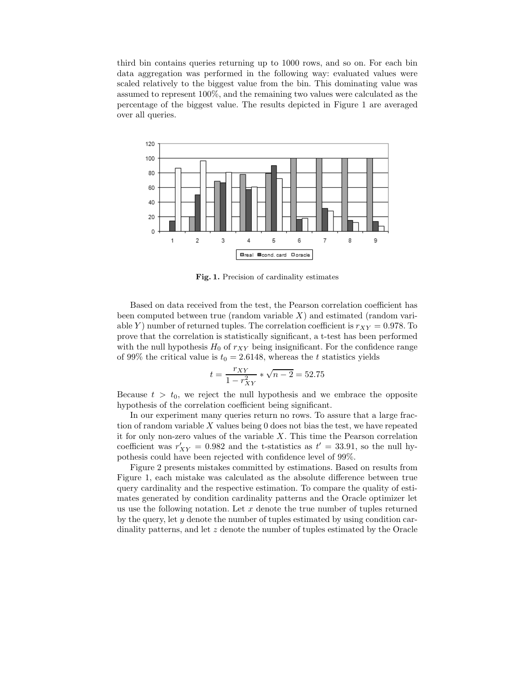third bin contains queries returning up to 1000 rows, and so on. For each bin data aggregation was performed in the following way: evaluated values were scaled relatively to the biggest value from the bin. This dominating value was assumed to represent 100%, and the remaining two values were calculated as the percentage of the biggest value. The results depicted in Figure 1 are averaged over all queries.



Fig. 1. Precision of cardinality estimates

Based on data received from the test, the Pearson correlation coefficient has been computed between true (random variable  $X$ ) and estimated (random variable Y) number of returned tuples. The correlation coefficient is  $r_{XY} = 0.978$ . To prove that the correlation is statistically significant, a t-test has been performed with the null hypothesis  $H_0$  of  $r_{XY}$  being insignificant. For the confidence range of 99% the critical value is  $t_0 = 2.6148$ , whereas the t statistics yields

$$
t = \frac{r_{XY}}{1 - r_{XY}^2} * \sqrt{n - 2} = 52.75
$$

Because  $t > t_0$ , we reject the null hypothesis and we embrace the opposite hypothesis of the correlation coefficient being significant.

In our experiment many queries return no rows. To assure that a large fraction of random variable  $X$  values being 0 does not bias the test, we have repeated it for only non-zero values of the variable  $X$ . This time the Pearson correlation coefficient was  $r'_{XY} = 0.982$  and the t-statistics as  $t' = 33.91$ , so the null hypothesis could have been rejected with confidence level of 99%.

Figure 2 presents mistakes committed by estimations. Based on results from Figure 1, each mistake was calculated as the absolute difference between true query cardinality and the respective estimation. To compare the quality of estimates generated by condition cardinality patterns and the Oracle optimizer let us use the following notation. Let  $x$  denote the true number of tuples returned by the query, let  $y$  denote the number of tuples estimated by using condition cardinality patterns, and let z denote the number of tuples estimated by the Oracle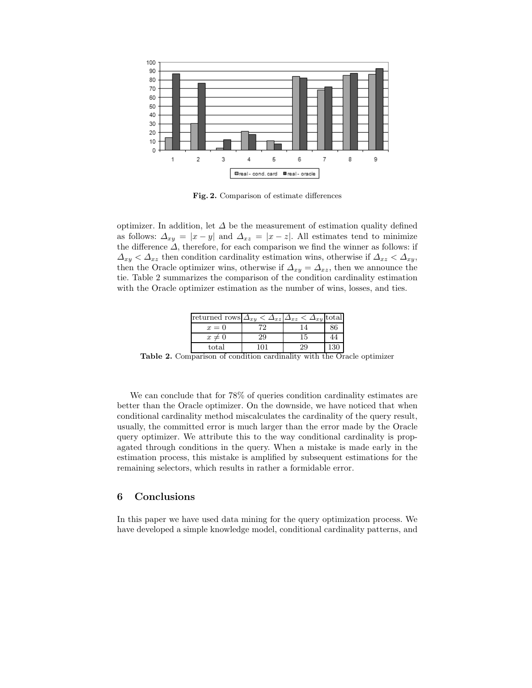

Fig. 2. Comparison of estimate differences

optimizer. In addition, let  $\Delta$  be the measurement of estimation quality defined as follows:  $\Delta_{xy} = |x - y|$  and  $\Delta_{xz} = |x - z|$ . All estimates tend to minimize the difference  $\Delta$ , therefore, for each comparison we find the winner as follows: if  $\Delta_{xy} < \Delta_{xz}$  then condition cardinality estimation wins, otherwise if  $\Delta_{xz} < \Delta_{xy}$ , then the Oracle optimizer wins, otherwise if  $\Delta_{xy} = \Delta_{xz}$ , then we announce the tie. Table 2 summarizes the comparison of the condition cardinality estimation with the Oracle optimizer estimation as the number of wins, losses, and ties.

| returned rows $\Delta_{xy} < \Delta_{xz} \Delta_{xz} < \Delta_{xy}$ total |    |    |  |
|---------------------------------------------------------------------------|----|----|--|
| $x=0$                                                                     |    |    |  |
| $x\neq 0$                                                                 | 29 | 15 |  |
| total                                                                     |    |    |  |

Table 2. Comparison of condition cardinality with the Oracle optimizer

We can conclude that for 78% of queries condition cardinality estimates are better than the Oracle optimizer. On the downside, we have noticed that when conditional cardinality method miscalculates the cardinality of the query result, usually, the committed error is much larger than the error made by the Oracle query optimizer. We attribute this to the way conditional cardinality is propagated through conditions in the query. When a mistake is made early in the estimation process, this mistake is amplified by subsequent estimations for the remaining selectors, which results in rather a formidable error.

# 6 Conclusions

In this paper we have used data mining for the query optimization process. We have developed a simple knowledge model, conditional cardinality patterns, and